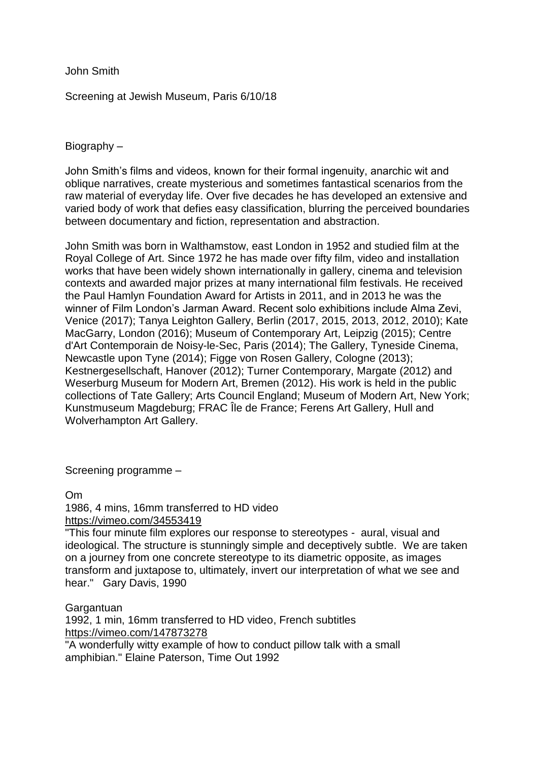John Smith

Screening at Jewish Museum, Paris 6/10/18

Biography –

John Smith's films and videos, known for their formal ingenuity, anarchic wit and oblique narratives, create mysterious and sometimes fantastical scenarios from the raw material of everyday life. Over five decades he has developed an extensive and varied body of work that defies easy classification, blurring the perceived boundaries between documentary and fiction, representation and abstraction.

John Smith was born in Walthamstow, east London in 1952 and studied film at the Royal College of Art. Since 1972 he has made over fifty film, video and installation works that have been widely shown internationally in gallery, cinema and television contexts and awarded major prizes at many international film festivals. He received the Paul Hamlyn Foundation Award for Artists in 2011, and in 2013 he was the winner of Film London's Jarman Award. Recent solo exhibitions include Alma Zevi, Venice (2017); Tanya Leighton Gallery, Berlin (2017, 2015, 2013, 2012, 2010); Kate MacGarry, London (2016); Museum of Contemporary Art, Leipzig (2015); Centre d'Art Contemporain de Noisy-le-Sec, Paris (2014); The Gallery, Tyneside Cinema, Newcastle upon Tyne (2014); Figge von Rosen Gallery, Cologne (2013); Kestnergesellschaft, Hanover (2012); Turner Contemporary, Margate (2012) and Weserburg Museum for Modern Art, Bremen (2012). His work is held in the public collections of Tate Gallery; Arts Council England; Museum of Modern Art, New York; Kunstmuseum Magdeburg; FRAC Île de France; Ferens Art Gallery, Hull and Wolverhampton Art Gallery.

Screening programme –

Om 1986, 4 mins, 16mm transferred to HD video <https://vimeo.com/34553419>

"This four minute film explores our response to stereotypes - aural, visual and ideological. The structure is stunningly simple and deceptively subtle. We are taken on a journey from one concrete stereotype to its diametric opposite, as images transform and juxtapose to, ultimately, invert our interpretation of what we see and hear." Gary Davis, 1990

**Gargantuan** 

1992, 1 min, 16mm transferred to HD video, French subtitles <https://vimeo.com/147873278>

"A wonderfully witty example of how to conduct pillow talk with a small amphibian." Elaine Paterson, Time Out 1992